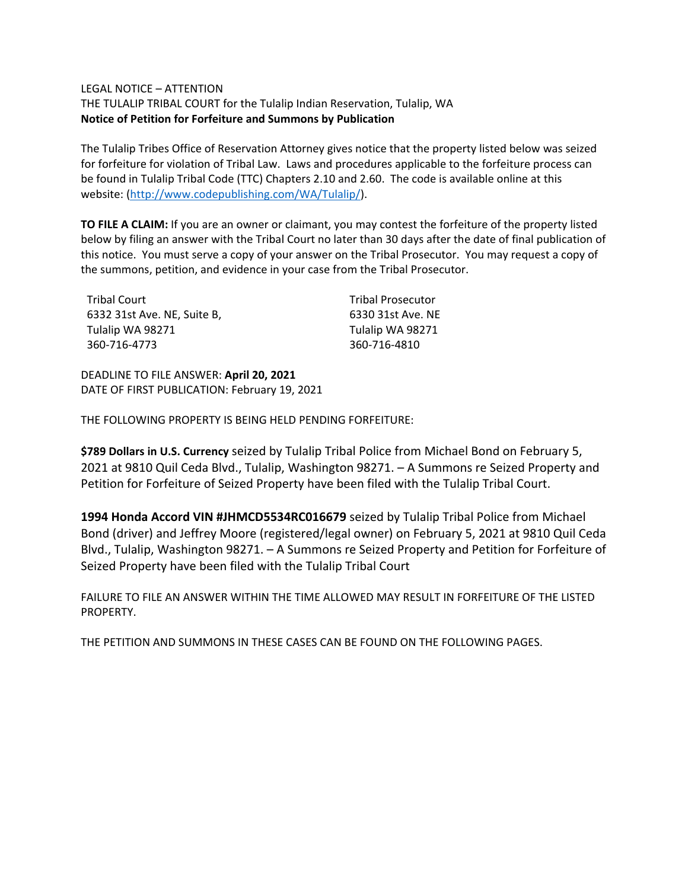## LEGAL NOTICE – ATTENTION

THE TULALIP TRIBAL COURT for the Tulalip Indian Reservation, Tulalip, WA **Notice of Petition for Forfeiture and Summons by Publication**

The Tulalip Tribes Office of Reservation Attorney gives notice that the property listed below was seized for forfeiture for violation of Tribal Law. Laws and procedures applicable to the forfeiture process can be found in Tulalip Tribal Code (TTC) Chapters 2.10 and 2.60. The code is available online at this website: [\(http://www.codepublishing.com/WA/Tulalip/\)](http://www.codepublishing.com/WA/Tulalip/).

**TO FILE A CLAIM:** If you are an owner or claimant, you may contest the forfeiture of the property listed below by filing an answer with the Tribal Court no later than 30 days after the date of final publication of this notice. You must serve a copy of your answer on the Tribal Prosecutor. You may request a copy of the summons, petition, and evidence in your case from the Tribal Prosecutor.

| Tribal Court                | <b>Tribal Prosecutor</b> |
|-----------------------------|--------------------------|
| 6332 31st Ave. NE. Suite B. | 6330 31st Ave. NE        |
| Tulalip WA 98271            | Tulalip WA 98271         |
| 360-716-4773                | 360-716-4810             |

DEADLINE TO FILE ANSWER: **April 20, 2021** DATE OF FIRST PUBLICATION: February 19, 2021

THE FOLLOWING PROPERTY IS BEING HELD PENDING FORFEITURE:

**\$789 Dollars in U.S. Currency** seized by Tulalip Tribal Police from Michael Bond on February 5, 2021 at 9810 Quil Ceda Blvd., Tulalip, Washington 98271. – A Summons re Seized Property and Petition for Forfeiture of Seized Property have been filed with the Tulalip Tribal Court.

**1994 Honda Accord VIN #JHMCD5534RC016679** seized by Tulalip Tribal Police from Michael Bond (driver) and Jeffrey Moore (registered/legal owner) on February 5, 2021 at 9810 Quil Ceda Blvd., Tulalip, Washington 98271. – A Summons re Seized Property and Petition for Forfeiture of Seized Property have been filed with the Tulalip Tribal Court

FAILURE TO FILE AN ANSWER WITHIN THE TIME ALLOWED MAY RESULT IN FORFEITURE OF THE LISTED PROPERTY.

THE PETITION AND SUMMONS IN THESE CASES CAN BE FOUND ON THE FOLLOWING PAGES.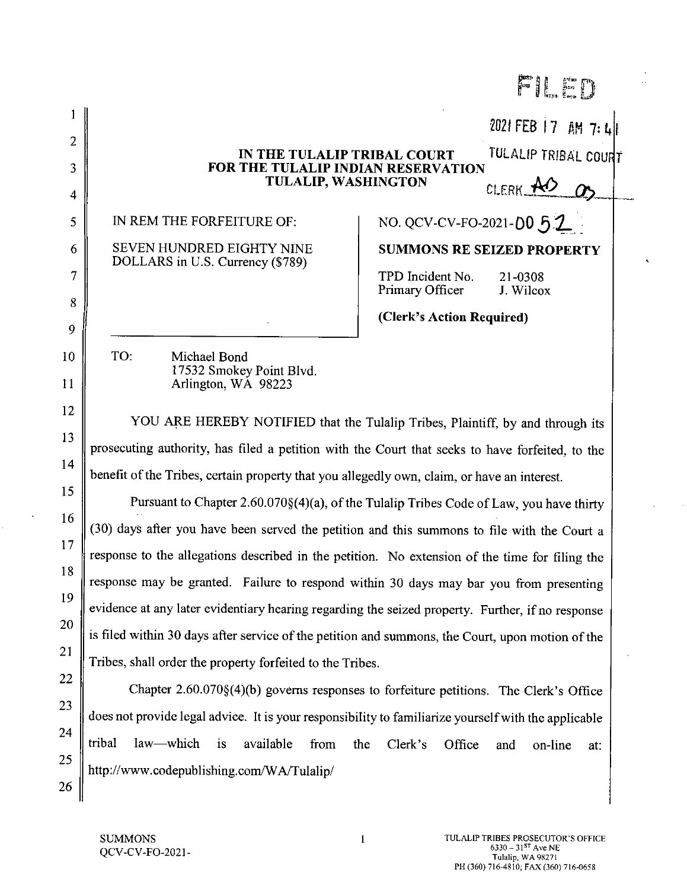|        |                                                                                                                         | FII En                                                                                |  |
|--------|-------------------------------------------------------------------------------------------------------------------------|---------------------------------------------------------------------------------------|--|
|        |                                                                                                                         | 2021 FEB 17 AM 7:4                                                                    |  |
| 2      | TULALIP TRIBAL COURT<br>IN THE TULALIP TRIBAL COURT<br>FOR THE TULALIP INDIAN RESERVATION<br><b>TULALIP, WASHINGTON</b> |                                                                                       |  |
| 3      |                                                                                                                         |                                                                                       |  |
| 4      |                                                                                                                         | CLERK NO.                                                                             |  |
| 5      | IN REM THE FORFEITURE OF:                                                                                               | NO. QCV-CV-FO-2021-00 5.2                                                             |  |
| 6      | SEVEN HUNDRED EIGHTY NINE<br>DOLLARS in U.S. Currency (\$789)                                                           | <b>SUMMONS RE SEIZED PROPERTY</b>                                                     |  |
| 7<br>8 |                                                                                                                         | TPD Incident No.<br>21-0308<br>Primary Officer<br>J. Wilcox                           |  |
| 9      |                                                                                                                         | (Clerk's Action Required)                                                             |  |
| 10     | TO:<br>Michael Bond                                                                                                     |                                                                                       |  |
| 11     | 17532 Smokey Point Blvd.<br>Arlington, WA 98223                                                                         |                                                                                       |  |
|        |                                                                                                                         |                                                                                       |  |
| 12     | YOU ARE HEREBY NOTIFIED that the Tulalip Tribes, Plaintiff, by and through its                                          |                                                                                       |  |
| 13     | prosecuting authority, has filed a petition with the Court that seeks to have forfeited, to the                         |                                                                                       |  |
| 14     | benefit of the Tribes, certain property that you allegedly own, claim, or have an interest.                             |                                                                                       |  |
| 15     | Pursuant to Chapter $2.60.070\{(4)(a)\}$ , of the Tulalip Tribes Code of Law, you have thirty                           |                                                                                       |  |
| 16     | (30) days after you have been served the petition and this summons to file with the Court a                             |                                                                                       |  |
| 17     | response to the allegations described in the petition. No extension of the time for filing the                          |                                                                                       |  |
| 18     | response may be granted. Failure to respond within 30 days may bar you from presenting                                  |                                                                                       |  |
| 19     | evidence at any later evidentiary hearing regarding the seized property. Further, if no response                        |                                                                                       |  |
| 20     | is filed within 30 days after service of the petition and summons, the Court, upon motion of the                        |                                                                                       |  |
| 21     | Tribes, shall order the property forfeited to the Tribes.                                                               |                                                                                       |  |
| 22     |                                                                                                                         | Chapter 2.60.070§(4)(b) governs responses to forfeiture petitions. The Clerk's Office |  |
| 23     | does not provide legal advice. It is your responsibility to familiarize yourself with the applicable                    |                                                                                       |  |
| 24     | tribal<br>law—which<br><i>is</i><br>available<br>from                                                                   | the<br>Clerk's<br>Office<br>and<br>on-line<br>at:                                     |  |
| 25     | http://www.codepublishing.com/WA/Tulalip/                                                                               |                                                                                       |  |
| 26     |                                                                                                                         |                                                                                       |  |

 $\mathbf{1}$ 

 $\hat{\mathcal{A}}$ 

 $\ddot{\phantom{0}}$ 

 $\ddot{\phantom{0}}$ 

 $\sim$ 

 $\sim$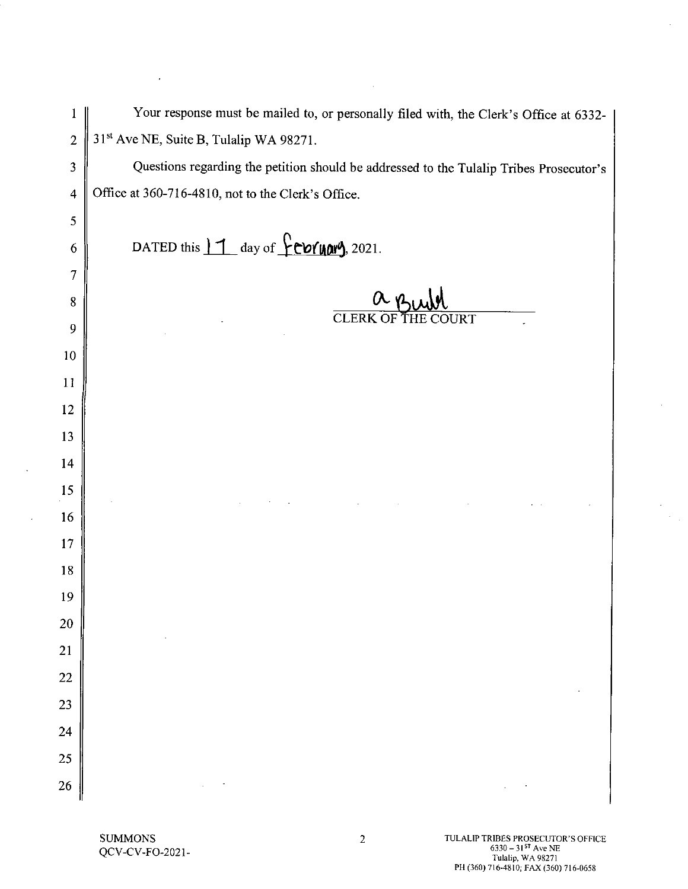| 1                        | Your response must be mailed to, or personally filed with, the Clerk's Office at 6332-  |
|--------------------------|-----------------------------------------------------------------------------------------|
| $\overline{2}$           | 31 <sup>st</sup> Ave NE, Suite B, Tulalip WA 98271.                                     |
| 3                        | Questions regarding the petition should be addressed to the Tulalip Tribes Prosecutor's |
| $\overline{\mathcal{A}}$ | Office at 360-716-4810, not to the Clerk's Office.                                      |
| 5                        |                                                                                         |
| 6                        | DATED this $11$ day of $?$ COYUON), 2021.                                               |
| 7                        |                                                                                         |
| 8                        | $a_{\mu\nu}$                                                                            |
| 9                        | <b>CLERK OF THE</b><br>$\overline{\text{COURT}}$                                        |
| 10                       |                                                                                         |
| 11                       |                                                                                         |
| 12                       |                                                                                         |
| 13                       |                                                                                         |
| 14                       |                                                                                         |
| 15                       |                                                                                         |
| 16                       |                                                                                         |
| 17                       |                                                                                         |
| 18                       |                                                                                         |
| 19                       |                                                                                         |
| 20                       |                                                                                         |
| 21                       |                                                                                         |
| 22                       |                                                                                         |
| 23                       |                                                                                         |
| 24                       |                                                                                         |
| 25                       |                                                                                         |
| 26                       |                                                                                         |

 $\alpha$ 

SUMMONS<br>QCV-CV-FO-2021-

 $\mathcal{L}^{\pm}$ 

TULALIP TRIBES PROSECUTOR'S OFFICE<br>
6330 - 31<sup>57</sup> Ave NE<br>
Tulalip, WA 98271<br>
PH (360) 716-4810; FAX (360) 716-0658

 $\hat{\boldsymbol{\beta}}$ 

 $\sim$  $\frac{1}{\left\| \mathcal{L} \right\|_{\mathcal{H}^{1}}^{2}}$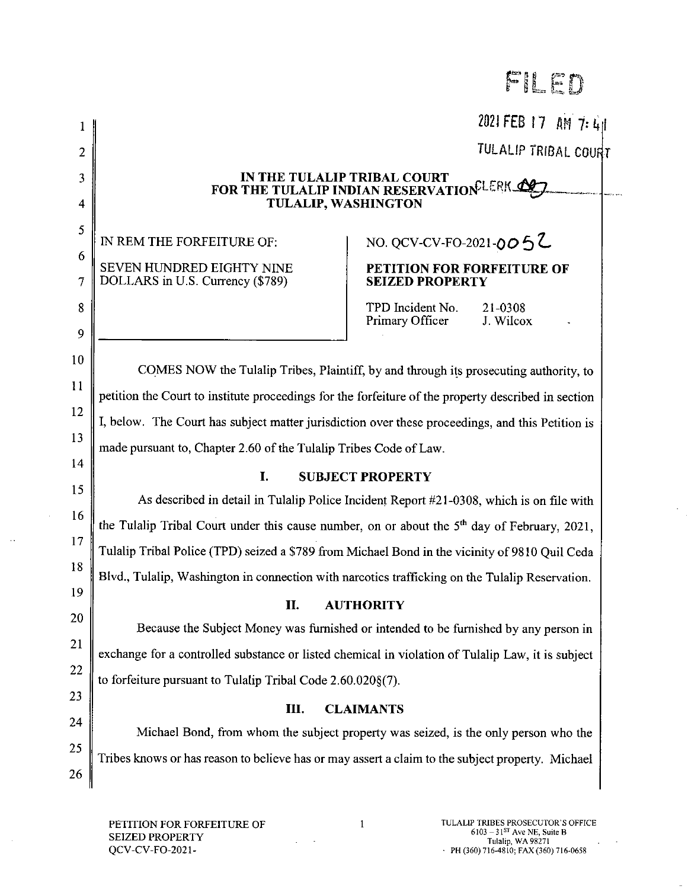FILED

2021 FEB 17 AM 7: 41 TULALIP TRIBAL COURT IN THE TULALIP TRIBAL COURT FOR THE TULALIP INDIAN RESERVATION LERK ALT **TULALIP, WASHINGTON** NO. QCV-CV-FO-2021-0052 IN REM THE FORFEITURE OF: SEVEN HUNDRED EIGHTY NINE PETITION FOR FORFEITURE OF DOLLARS in U.S. Currency (\$789) **SEIZED PROPERTY** TPD Incident No. 21-0308 Primary Officer J. Wilcox COMES NOW the Tulalip Tribes, Plaintiff, by and through its prosecuting authority, to petition the Court to institute proceedings for the forfeiture of the property described in section I, below. The Court has subject matter jurisdiction over these proceedings, and this Petition is made pursuant to, Chapter 2.60 of the Tulalip Tribes Code of Law. I. **SUBJECT PROPERTY** As described in detail in Tulalip Police Incident Report #21-0308, which is on file with the Tulalip Tribal Court under this cause number, on or about the  $5<sup>th</sup>$  day of February, 2021, Tulalip Tribal Police (TPD) seized a \$789 from Michael Bond in the vicinity of 9810 Quil Ceda Blyd., Tulalip, Washington in connection with narcotics trafficking on the Tulalip Reservation. **II. AUTHORITY** Because the Subject Money was furnished or intended to be furnished by any person in exchange for a controlled substance or listed chemical in violation of Tulalip Law, it is subject to forfeiture pursuant to Tulalip Tribal Code 2.60.020§(7). III. **CLAIMANTS** Michael Bond, from whom the subject property was seized, is the only person who the Tribes knows or has reason to believe has or may assert a claim to the subject property. Michael

PETITION FOR FORFEITURE OF **SEIZED PROPERTY** QCV-CV-FO-2021-

 $\mathbf{1}$ 

 $\overline{2}$ 

 $\overline{3}$ 

 $\overline{4}$ 

5

6

 $\overline{7}$ 

8

9

10

11

12

13

 $14$ 

15

16

17

18

19

20

21

22

23

24

25

26

 $\mathbf{1}$